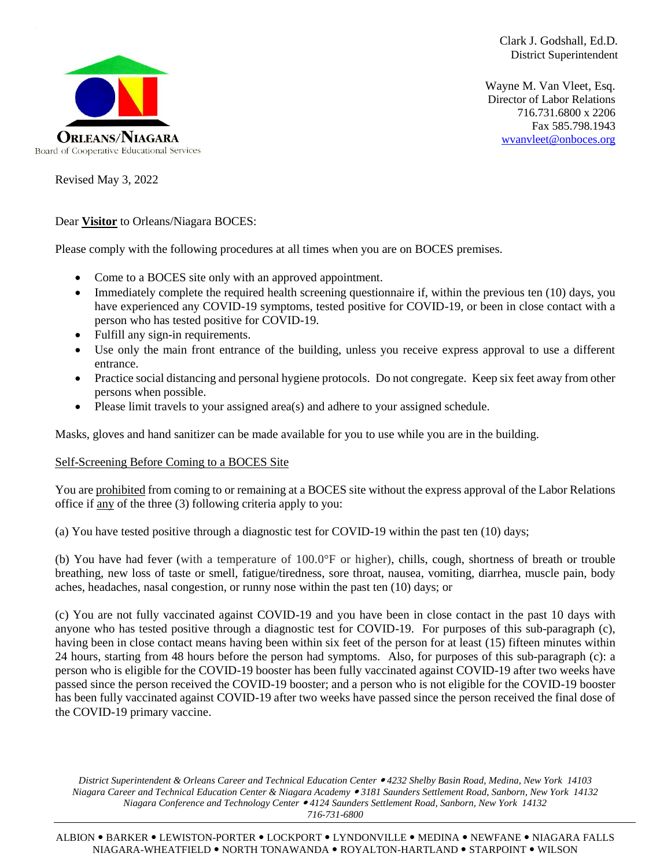

Clark J. Godshall, Ed.D. District Superintendent

Wayne M. Van Vleet, Esq. Director of Labor Relations 716.731.6800 x 2206 Fax 585.798.1943 [wvanvleet@onboces.org](mailto:wvanvleet@onboces.org)

Revised May 3, 2022

Dear **Visitor** to Orleans/Niagara BOCES:

Please comply with the following procedures at all times when you are on BOCES premises.

- Come to a BOCES site only with an approved appointment.
- Immediately complete the required health screening questionnaire if, within the previous ten (10) days, you have experienced any COVID-19 symptoms, tested positive for COVID-19, or been in close contact with a person who has tested positive for COVID-19.
- Fulfill any sign-in requirements.
- Use only the main front entrance of the building, unless you receive express approval to use a different entrance.
- Practice social distancing and personal hygiene protocols. Do not congregate. Keep six feet away from other persons when possible.
- Please limit travels to your assigned area(s) and adhere to your assigned schedule.

Masks, gloves and hand sanitizer can be made available for you to use while you are in the building.

## Self-Screening Before Coming to a BOCES Site

You are prohibited from coming to or remaining at a BOCES site without the express approval of the Labor Relations office if any of the three (3) following criteria apply to you:

(a) You have tested positive through a diagnostic test for COVID-19 within the past ten (10) days;

(b) You have had fever (with a temperature of 100.0°F or higher), chills, cough, shortness of breath or trouble breathing, new loss of taste or smell, fatigue/tiredness, sore throat, nausea, vomiting, diarrhea, muscle pain, body aches, headaches, nasal congestion, or runny nose within the past ten (10) days; or

(c) You are not fully vaccinated against COVID-19 and you have been in close contact in the past 10 days with anyone who has tested positive through a diagnostic test for COVID-19. For purposes of this sub-paragraph (c), having been in close contact means having been within six feet of the person for at least (15) fifteen minutes within 24 hours, starting from 48 hours before the person had symptoms. Also, for purposes of this sub-paragraph (c): a person who is eligible for the COVID-19 booster has been fully vaccinated against COVID-19 after two weeks have passed since the person received the COVID-19 booster; and a person who is not eligible for the COVID-19 booster has been fully vaccinated against COVID-19 after two weeks have passed since the person received the final dose of the COVID-19 primary vaccine.

*District Superintendent & Orleans Career and Technical Education Center 4232 Shelby Basin Road, Medina, New York 14103 Niagara Career and Technical Education Center & Niagara Academy 3181 Saunders Settlement Road, Sanborn, New York 14132 Niagara Conference and Technology Center 4124 Saunders Settlement Road, Sanborn, New York 14132 716-731-6800*